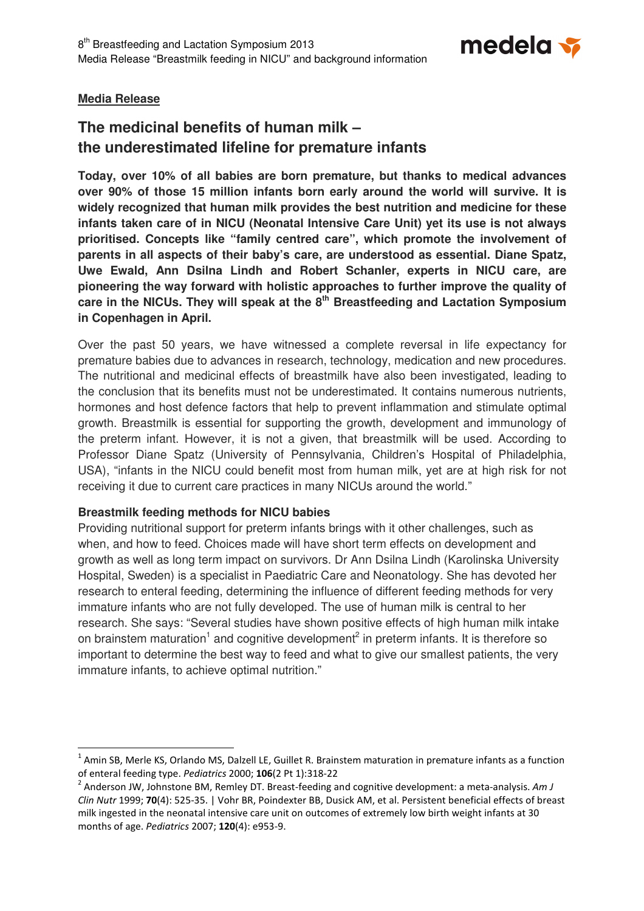

# **Media Release**

l

# **The medicinal benefits of human milk – the underestimated lifeline for premature infants**

**Today, over 10% of all babies are born premature, but thanks to medical advances over 90% of those 15 million infants born early around the world will survive. It is widely recognized that human milk provides the best nutrition and medicine for these infants taken care of in NICU (Neonatal Intensive Care Unit) yet its use is not always prioritised. Concepts like "family centred care", which promote the involvement of parents in all aspects of their baby's care, are understood as essential. Diane Spatz, Uwe Ewald, Ann Dsilna Lindh and Robert Schanler, experts in NICU care, are pioneering the way forward with holistic approaches to further improve the quality of care in the NICUs. They will speak at the 8th Breastfeeding and Lactation Symposium in Copenhagen in April.** 

Over the past 50 years, we have witnessed a complete reversal in life expectancy for premature babies due to advances in research, technology, medication and new procedures. The nutritional and medicinal effects of breastmilk have also been investigated, leading to the conclusion that its benefits must not be underestimated. It contains numerous nutrients, hormones and host defence factors that help to prevent inflammation and stimulate optimal growth. Breastmilk is essential for supporting the growth, development and immunology of the preterm infant. However, it is not a given, that breastmilk will be used. According to Professor Diane Spatz (University of Pennsylvania, Children's Hospital of Philadelphia, USA), "infants in the NICU could benefit most from human milk, yet are at high risk for not receiving it due to current care practices in many NICUs around the world."

# **Breastmilk feeding methods for NICU babies**

Providing nutritional support for preterm infants brings with it other challenges, such as when, and how to feed. Choices made will have short term effects on development and growth as well as long term impact on survivors. Dr Ann Dsilna Lindh (Karolinska University Hospital, Sweden) is a specialist in Paediatric Care and Neonatology. She has devoted her research to enteral feeding, determining the influence of different feeding methods for very immature infants who are not fully developed. The use of human milk is central to her research. She says: "Several studies have shown positive effects of high human milk intake on brainstem maturation<sup>1</sup> and cognitive development<sup>2</sup> in preterm infants. It is therefore so important to determine the best way to feed and what to give our smallest patients, the very immature infants, to achieve optimal nutrition."

 $^1$  Amin SB, Merle KS, Orlando MS, Dalzell LE, Guillet R. Brainstem maturation in premature infants as a function of enteral feeding type. Pediatrics 2000; 106(2 Pt 1):318-22

<sup>&</sup>lt;sup>2</sup> Anderson JW, Johnstone BM, Remley DT. Breast-feeding and cognitive development: a meta-analysis. Am J Clin Nutr 1999; 70(4): 525-35. | Vohr BR, Poindexter BB, Dusick AM, et al. Persistent beneficial effects of breast milk ingested in the neonatal intensive care unit on outcomes of extremely low birth weight infants at 30 months of age. Pediatrics 2007; 120(4): e953-9.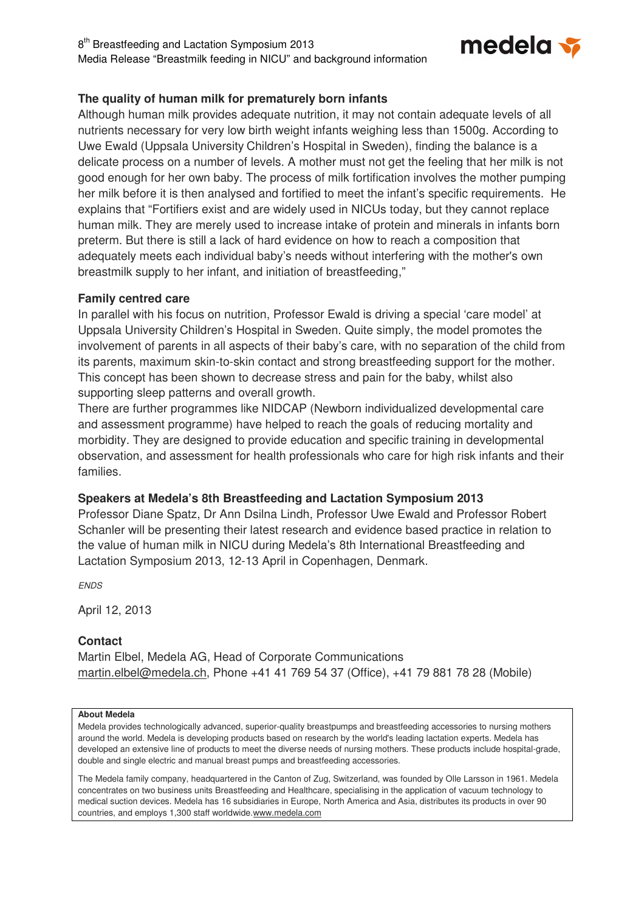8<sup>th</sup> Breastfeeding and Lactation Symposium 2013 Media Release "Breastmilk feeding in NICU" and background information



# **The quality of human milk for prematurely born infants**

Although human milk provides adequate nutrition, it may not contain adequate levels of all nutrients necessary for very low birth weight infants weighing less than 1500g. According to Uwe Ewald (Uppsala University Children's Hospital in Sweden), finding the balance is a delicate process on a number of levels. A mother must not get the feeling that her milk is not good enough for her own baby. The process of milk fortification involves the mother pumping her milk before it is then analysed and fortified to meet the infant's specific requirements. He explains that "Fortifiers exist and are widely used in NICUs today, but they cannot replace human milk. They are merely used to increase intake of protein and minerals in infants born preterm. But there is still a lack of hard evidence on how to reach a composition that adequately meets each individual baby's needs without interfering with the mother's own breastmilk supply to her infant, and initiation of breastfeeding,"

# **Family centred care**

In parallel with his focus on nutrition, Professor Ewald is driving a special 'care model' at Uppsala University Children's Hospital in Sweden. Quite simply, the model promotes the involvement of parents in all aspects of their baby's care, with no separation of the child from its parents, maximum skin-to-skin contact and strong breastfeeding support for the mother. This concept has been shown to decrease stress and pain for the baby, whilst also supporting sleep patterns and overall growth.

There are further programmes like NIDCAP (Newborn individualized developmental care and assessment programme) have helped to reach the goals of reducing mortality and morbidity. They are designed to provide education and specific training in developmental observation, and assessment for health professionals who care for high risk infants and their families.

# **Speakers at Medela's 8th Breastfeeding and Lactation Symposium 2013**

Professor Diane Spatz, Dr Ann Dsilna Lindh, Professor Uwe Ewald and Professor Robert Schanler will be presenting their latest research and evidence based practice in relation to the value of human milk in NICU during Medela's 8th International Breastfeeding and Lactation Symposium 2013, 12-13 April in Copenhagen, Denmark.

**ENDS** 

April 12, 2013

# **Contact**

Martin Elbel, Medela AG, Head of Corporate Communications martin.elbel@medela.ch, Phone +41 41 769 54 37 (Office), +41 79 881 78 28 (Mobile)

#### **About Medela**

Medela provides technologically advanced, superior-quality breastpumps and breastfeeding accessories to nursing mothers around the world. Medela is developing products based on research by the world's leading lactation experts. Medela has developed an extensive line of products to meet the diverse needs of nursing mothers. These products include hospital-grade, double and single electric and manual breast pumps and breastfeeding accessories.

The Medela family company, headquartered in the Canton of Zug, Switzerland, was founded by Olle Larsson in 1961. Medela concentrates on two business units Breastfeeding and Healthcare, specialising in the application of vacuum technology to medical suction devices. Medela has 16 subsidiaries in Europe, North America and Asia, distributes its products in over 90 countries, and employs 1,300 staff worldwide.www.medela.com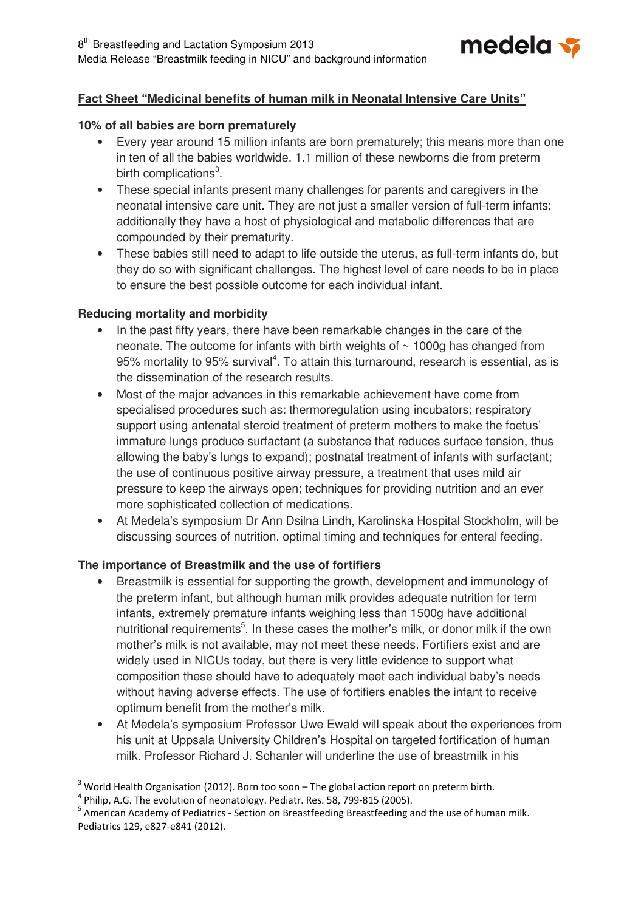

# **Fact Sheet "Medicinal benefits of human milk in Neonatal Intensive Care Units"**

# **10% of all babies are born prematurely**

- Every year around 15 million infants are born prematurely; this means more than one in ten of all the babies worldwide. 1.1 million of these newborns die from preterm birth complications<sup>3</sup>.
- These special infants present many challenges for parents and caregivers in the neonatal intensive care unit. They are not just a smaller version of full-term infants; additionally they have a host of physiological and metabolic differences that are compounded by their prematurity.
- These babies still need to adapt to life outside the uterus, as full-term infants do, but they do so with significant challenges. The highest level of care needs to be in place to ensure the best possible outcome for each individual infant.

# **Reducing mortality and morbidity**

- In the past fifty years, there have been remarkable changes in the care of the neonate. The outcome for infants with birth weights of  $\sim$  1000g has changed from 95% mortality to 95% survival<sup>4</sup>. To attain this turnaround, research is essential, as is the dissemination of the research results.
- Most of the major advances in this remarkable achievement have come from specialised procedures such as: thermoregulation using incubators; respiratory support using antenatal steroid treatment of preterm mothers to make the foetus' immature lungs produce surfactant (a substance that reduces surface tension, thus allowing the baby's lungs to expand); postnatal treatment of infants with surfactant; the use of continuous positive airway pressure, a treatment that uses mild air pressure to keep the airways open; techniques for providing nutrition and an ever more sophisticated collection of medications.
- At Medela's symposium Dr Ann Dsilna Lindh, Karolinska Hospital Stockholm, will be discussing sources of nutrition, optimal timing and techniques for enteral feeding.

# **The importance of Breastmilk and the use of fortifiers**

- Breastmilk is essential for supporting the growth, development and immunology of the preterm infant, but although human milk provides adequate nutrition for term infants, extremely premature infants weighing less than 1500g have additional nutritional requirements<sup>5</sup>. In these cases the mother's milk, or donor milk if the own mother's milk is not available, may not meet these needs. Fortifiers exist and are widely used in NICUs today, but there is very little evidence to support what composition these should have to adequately meet each individual baby's needs without having adverse effects. The use of fortifiers enables the infant to receive optimum benefit from the mother's milk.
- At Medela's symposium Professor Uwe Ewald will speak about the experiences from his unit at Uppsala University Children's Hospital on targeted fortification of human milk. Professor Richard J. Schanler will underline the use of breastmilk in his

l

 $3$  World Health Organisation (2012). Born too soon – The global action report on preterm birth.

 $<sup>4</sup>$  Philip, A.G. The evolution of neonatology. Pediatr. Res. 58, 799-815 (2005).</sup>

 $^5$  American Academy of Pediatrics - Section on Breastfeeding Breastfeeding and the use of human milk. Pediatrics 129, e827-e841 (2012).